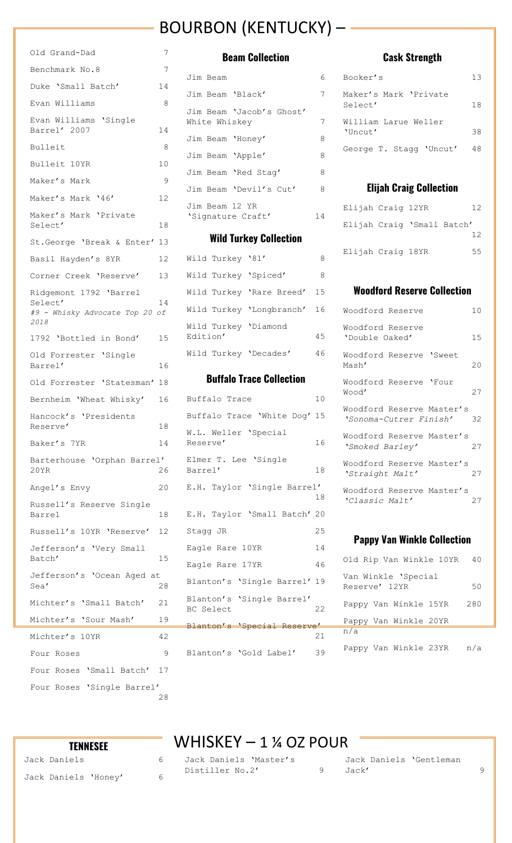# BOURBON (KENTUCKY) –

| Old Grand-Dad                                                               | 7  |
|-----------------------------------------------------------------------------|----|
| Benchmark No.8                                                              | 7  |
| Duke 'Small Batch'                                                          | 14 |
| Evan Williams                                                               | 8  |
| Evan Williams 'Single<br>Barrel' 2007                                       | 14 |
| Bulleit                                                                     | 8  |
| Bulleit 10YR                                                                | 10 |
| Maker's Mark                                                                | 9  |
| Maker's Mark '46'                                                           | 12 |
| Maker's Mark 'Private<br>Select'                                            | 18 |
| St.George 'Break & Enter' 13                                                |    |
| Basil Hayden's 8YR                                                          | 12 |
| Corner Creek 'Reserve'                                                      | 13 |
| Ridgemont 1792 'Barrel<br>Select'<br>#9 - Whisky Advocate Top 20 of<br>2018 | 14 |
| 1792 'Bottled in Bond'                                                      | 15 |
| Old Forrester 'Single<br>Barrel'                                            | 16 |
| Old Forrester 'Statesman' 18                                                |    |
| Bernheim 'Wheat Whisky'                                                     | 16 |
| Hancock's 'Presidents<br>Reserve <b>'</b>                                   | 18 |
| Baker's 7YR                                                                 | 14 |
| Barterhouse 'Orphan Barrel'<br>20YR                                         | 26 |
| Angel's Envy                                                                | 20 |
| Russell's Reserve Single<br>Barrel                                          | 18 |
| Russell's 10YR 'Reserve'                                                    | 12 |
| Jefferson's 'Very Small<br>Batch'                                           | 15 |
| Jefferson's 'Ocean Aged at<br>Sea'                                          | 28 |
| Michter's 'Small Batch'                                                     | 21 |
| Michter's 'Sour Mash'                                                       | 19 |
| Michter's 10YR                                                              | 42 |
| Four Roses                                                                  | 9  |
| Four Roses 'Small Batch'                                                    | 17 |
| Four Roses 'Single Barrel'                                                  | 28 |

#### **Beam Collection**

|  | Jim Beam       |                          | 6 |
|--|----------------|--------------------------|---|
|  |                | Jim Beam 'Black'         | 7 |
|  | White Whiskey  | Jim Beam 'Jacob's Ghost' | 7 |
|  |                | Jim Beam 'Honey'         | 8 |
|  |                | Jim Beam 'Apple'         | 8 |
|  |                | Jim Beam 'Red Stag'      | 8 |
|  |                | Jim Beam 'Devil's Cut'   | 8 |
|  | Jim Beam 12 YR | 'Signature Craft'        | 4 |

#### **Wild Turkey Collection**

| Wild Turkey '81'                 |  |                          |     |
|----------------------------------|--|--------------------------|-----|
| Wild Turkey 'Spiced'             |  |                          | 8   |
|                                  |  | Wild Turkey 'Rare Breed' | 15  |
|                                  |  | Wild Turkey 'Longbranch' | 16  |
| Wild Turkey 'Diamond<br>Edition' |  |                          | 4.5 |
| Wild Turkey 'Decades'            |  |                          | 46  |

### **Buffalo Trace Collection**

| Buffalo Trace                          | 10 |
|----------------------------------------|----|
| Buffalo Trace 'White Dog' 15           |    |
| W.L. Weller 'Special<br>Reserve'       | 16 |
| Elmer T. Lee 'Single<br>Barrel'        | 18 |
| E.H. Taylor 'Single Barrel'            | 18 |
| E.H. Taylor 'Small Batch' 20           |    |
| Stagg JR                               | 25 |
| Eagle Rare 10YR                        | 14 |
| Eagle Rare 17YR                        | 46 |
| Blanton's 'Single Barrel' 19           |    |
| Blanton's 'Single Barrel'<br>BC Select | 22 |
| Blanton's 'Special Reserve'            |    |
|                                        | 21 |
| Blanton's 'Gold Label'                 | 39 |

## **Cask Strength**

| Booker's                              | 13 |
|---------------------------------------|----|
| Maker's Mark 'Private<br>Select'      | 18 |
| William Larue Weller<br>$'$ Uncut $'$ | 38 |
| George T. Stagg 'Uncut'               | 48 |

#### **Elijah Craig Collection**

| Elijah Craig 12YR |                            |    |
|-------------------|----------------------------|----|
|                   | Elijah Craiq 'Small Batch' |    |
|                   |                            | 12 |
| Elijah Craig 18YR |                            | 55 |

### **Woodford Reserve Collection**

| Woodford Reserve                                    | 10 |
|-----------------------------------------------------|----|
| Woodford Reserve<br>'Double Oaked'                  | 15 |
| Woodford Reserve 'Sweet<br>Mash'                    | 20 |
| Woodford Reserve 'Four<br>Wood'                     | 27 |
| Woodford Reserve Master's<br>'Sonoma-Cutrer Finish' | 32 |
| Woodford Reserve Master's<br>'Smoked Barley'        | 27 |
| Woodford Reserve Master's<br>'Straight Malt'        | 27 |
| Woodford Reserve Master's<br>'Classic Malt'         | 27 |
|                                                     |    |

#### **Pappy Van Winkle Collection**

| Old Rip Van Winkle 10YR              |  |  | 40  |  |
|--------------------------------------|--|--|-----|--|
| Van Winkle 'Special<br>Reserve' 12YR |  |  |     |  |
| Pappy Van Winkle 15YR                |  |  | 280 |  |
| Pappy Van Winkle 20YR                |  |  |     |  |
| n/a                                  |  |  |     |  |
| Pappy Van Winkle 23YR                |  |  | n/a |  |

# WHISKEY – 1 ¼ OZ POUR

**TENNESEE** Jack Daniels 6 Jack Daniels 'Honey' 6

Jack Daniels 'Master's Distiller No.2' 9

Jack Daniels 'Gentleman Jack' 9